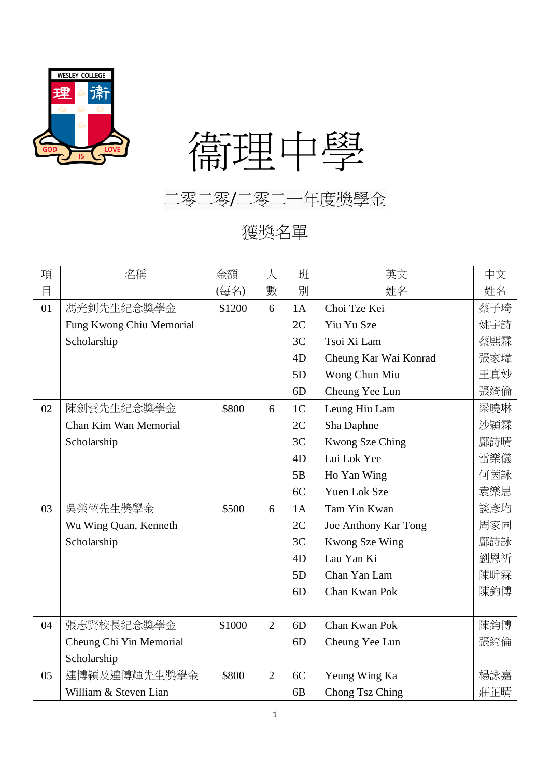

## 衞理中學

二零二零/二零二一年度獎學金

獲獎名單

| 項  | 名稱                       | 金額     | 人              | 班              | 英文                    | 中文  |
|----|--------------------------|--------|----------------|----------------|-----------------------|-----|
| 目  |                          | (每名)   | 數              | 別              | 姓名                    | 姓名  |
| 01 | 馮光釗先生紀念獎學金               | \$1200 | 6              | 1A             | Choi Tze Kei          | 蔡子琦 |
|    | Fung Kwong Chiu Memorial |        |                | 2C             | Yiu Yu Sze            | 姚宇詩 |
|    | Scholarship              |        |                | 3C             | Tsoi Xi Lam           | 蔡熙霖 |
|    |                          |        |                | 4D             | Cheung Kar Wai Konrad | 張家瑋 |
|    |                          |        |                | 5D             | Wong Chun Miu         | 王真妙 |
|    |                          |        |                | 6 <sub>D</sub> | Cheung Yee Lun        | 張綺倫 |
| 02 | 陳劍雲先生紀念獎學金               | \$800  | 6              | 1 <sub>C</sub> | Leung Hiu Lam         | 梁曉琳 |
|    | Chan Kim Wan Memorial    |        |                | 2C             | Sha Daphne            | 沙穎霖 |
|    | Scholarship              |        |                | 3C             | Kwong Sze Ching       | 鄺詩晴 |
|    |                          |        |                | 4D             | Lui Lok Yee           | 雷樂儀 |
|    |                          |        |                | 5B             | Ho Yan Wing           | 何茵詠 |
|    |                          |        |                | 6C             | Yuen Lok Sze          | 袁樂思 |
| 03 | 吳榮堃先生獎學金                 | \$500  | 6              | 1A             | Tam Yin Kwan          | 談彥均 |
|    | Wu Wing Quan, Kenneth    |        |                | 2C             | Joe Anthony Kar Tong  | 周家同 |
|    | Scholarship              |        |                | 3C             | Kwong Sze Wing        | 鄺詩詠 |
|    |                          |        |                | 4D             | Lau Yan Ki            | 劉恩祈 |
|    |                          |        |                | 5D             | Chan Yan Lam          | 陳昕霖 |
|    |                          |        |                | 6D             | Chan Kwan Pok         | 陳鈞博 |
|    |                          |        |                |                |                       |     |
| 04 | 張志賢校長紀念獎學金               | \$1000 | $\overline{2}$ | 6D             | Chan Kwan Pok         | 陳鈞博 |
|    | Cheung Chi Yin Memorial  |        |                | 6D             | Cheung Yee Lun        | 張綺倫 |
|    | Scholarship              |        |                |                |                       |     |
| 05 | 連博穎及連博輝先生獎學金             | \$800  | $\overline{2}$ | 6C             | Yeung Wing Ka         | 楊詠嘉 |
|    | William & Steven Lian    |        |                | 6 <sub>B</sub> | Chong Tsz Ching       | 莊芷晴 |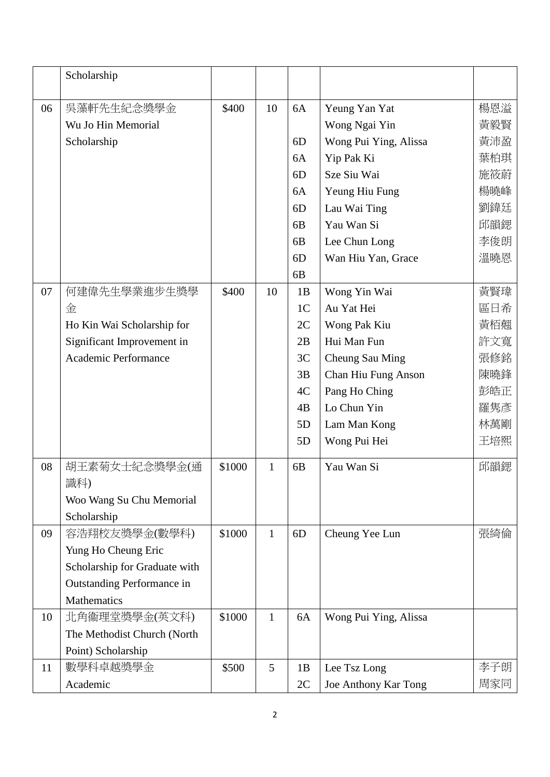|    | Scholarship                   |        |              |                |                       |     |
|----|-------------------------------|--------|--------------|----------------|-----------------------|-----|
| 06 | 吳藻軒先生紀念獎學金                    | \$400  | 10           | 6A             | Yeung Yan Yat         | 楊恩溢 |
|    | Wu Jo Hin Memorial            |        |              |                | Wong Ngai Yin         | 黃毅賢 |
|    | Scholarship                   |        |              | 6D             | Wong Pui Ying, Alissa | 黃沛盈 |
|    |                               |        |              | 6A             | Yip Pak Ki            | 葉柏琪 |
|    |                               |        |              | 6D             | Sze Siu Wai           | 施筱蔚 |
|    |                               |        |              | 6A             | Yeung Hiu Fung        | 楊曉峰 |
|    |                               |        |              | 6D             | Lau Wai Ting          | 劉鍏廷 |
|    |                               |        |              | 6 <sub>B</sub> | Yau Wan Si            | 邱韻鍶 |
|    |                               |        |              | 6 <sub>B</sub> | Lee Chun Long         | 李俊朗 |
|    |                               |        |              | 6D             | Wan Hiu Yan, Grace    | 溫曉恩 |
|    |                               |        |              | 6 <sub>B</sub> |                       |     |
| 07 | 何建偉先生學業進步生獎學                  | \$400  | 10           | 1B             | Wong Yin Wai          | 黃賢瑋 |
|    | 金                             |        |              | 1 <sup>C</sup> | Au Yat Hei            | 區日希 |
|    | Ho Kin Wai Scholarship for    |        |              | 2C             | Wong Pak Kiu          | 黃栢翹 |
|    | Significant Improvement in    |        |              | 2B             | Hui Man Fun           | 許文寬 |
|    | Academic Performance          |        |              | 3C             | Cheung Sau Ming       | 張修銘 |
|    |                               |        |              | 3B             | Chan Hiu Fung Anson   | 陳曉鋒 |
|    |                               |        |              | 4C             | Pang Ho Ching         | 彭皓正 |
|    |                               |        |              | 4B             | Lo Chun Yin           | 羅隽彥 |
|    |                               |        |              | 5D             | Lam Man Kong          | 林萬剛 |
|    |                               |        |              | 5D             | Wong Pui Hei          | 王培熙 |
| 08 | 胡王素菊女士紀念獎學金(通                 | \$1000 | $\mathbf{1}$ | 6 <sub>B</sub> | Yau Wan Si            | 邱韻鍶 |
|    | 識科)                           |        |              |                |                       |     |
|    | Woo Wang Su Chu Memorial      |        |              |                |                       |     |
|    | Scholarship                   |        |              |                |                       |     |
| 09 | 容浩翔校友獎學金(數學科)                 | \$1000 | $\mathbf{1}$ | 6D             | Cheung Yee Lun        | 張綺倫 |
|    | Yung Ho Cheung Eric           |        |              |                |                       |     |
|    | Scholarship for Graduate with |        |              |                |                       |     |
|    | Outstanding Performance in    |        |              |                |                       |     |
|    | <b>Mathematics</b>            |        |              |                |                       |     |
| 10 | 北角衞理堂獎學金(英文科)                 | \$1000 | $\mathbf{1}$ | 6A             | Wong Pui Ying, Alissa |     |
|    | The Methodist Church (North   |        |              |                |                       |     |
|    | Point) Scholarship            |        |              |                |                       |     |
| 11 | 數學科卓越獎學金                      | \$500  | 5            | 1B             | Lee Tsz Long          | 李子朗 |
|    | Academic                      |        |              | 2C             | Joe Anthony Kar Tong  | 周家同 |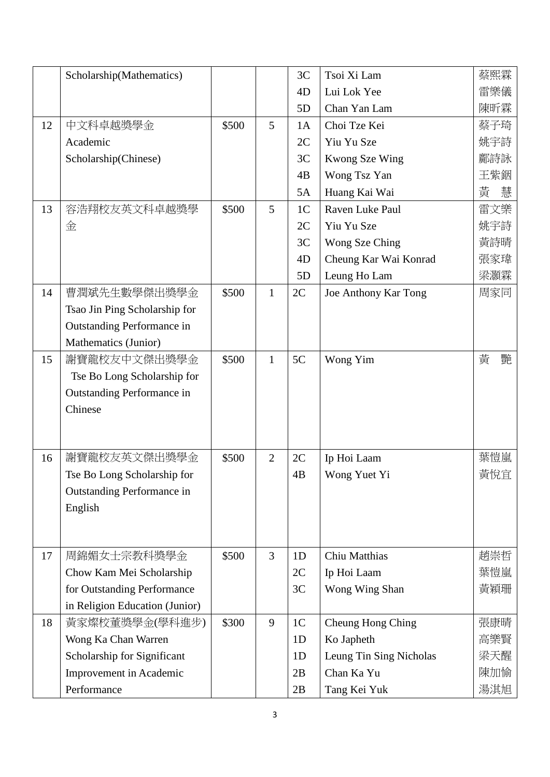|    | Scholarship(Mathematics)       |       |                | 3C             | Tsoi Xi Lam             | 蔡熙霖    |
|----|--------------------------------|-------|----------------|----------------|-------------------------|--------|
|    |                                |       |                | 4 <sub>D</sub> | Lui Lok Yee             | 雷樂儀    |
|    |                                |       |                | 5D             | Chan Yan Lam            | 陳昕霖    |
| 12 | 中文科卓越獎學金                       | \$500 | 5              | 1A             | Choi Tze Kei            | 蔡子琦    |
|    | Academic                       |       |                | 2C             | Yiu Yu Sze              | 姚宇詩    |
|    | Scholarship(Chinese)           |       |                | 3C             | Kwong Sze Wing          | 鄺詩詠    |
|    |                                |       |                | 4B             | Wong Tsz Yan            | 王紫銦    |
|    |                                |       |                | 5A             | Huang Kai Wai           | 黃<br>慧 |
| 13 | 容浩翔校友英文科卓越獎學                   | \$500 | 5              | 1 <sub>C</sub> | Raven Luke Paul         | 雷文樂    |
|    | 金                              |       |                | 2C             | Yiu Yu Sze              | 姚宇詩    |
|    |                                |       |                | 3C             | Wong Sze Ching          | 黃詩晴    |
|    |                                |       |                | 4D             | Cheung Kar Wai Konrad   | 張家瑋    |
|    |                                |       |                | 5D             | Leung Ho Lam            | 梁灝霖    |
| 14 | 曹潤斌先生數學傑出獎學金                   | \$500 | $\mathbf{1}$   | 2C             | Joe Anthony Kar Tong    | 周家同    |
|    | Tsao Jin Ping Scholarship for  |       |                |                |                         |        |
|    | Outstanding Performance in     |       |                |                |                         |        |
|    | Mathematics (Junior)           |       |                |                |                         |        |
| 15 | 謝寶龍校友中文傑出獎學金                   | \$500 | $\mathbf{1}$   | 5C             | Wong Yim                | 黃<br>艷 |
|    | Tse Bo Long Scholarship for    |       |                |                |                         |        |
|    | Outstanding Performance in     |       |                |                |                         |        |
|    | Chinese                        |       |                |                |                         |        |
|    |                                |       |                |                |                         |        |
|    |                                |       |                |                |                         |        |
| 16 | 謝寶龍校友英文傑出獎學金                   | \$500 | $\overline{2}$ | 2C             | Ip Hoi Laam             | 葉愷嵐    |
|    | Tse Bo Long Scholarship for    |       |                | 4B             | Wong Yuet Yi            | 黃悅宜    |
|    | Outstanding Performance in     |       |                |                |                         |        |
|    | English                        |       |                |                |                         |        |
|    |                                |       |                |                |                         |        |
|    |                                |       |                |                |                         |        |
| 17 | 周錦媚女士宗教科獎學金                    | \$500 | $\overline{3}$ | 1D             | Chiu Matthias           | 趙崇哲    |
|    | Chow Kam Mei Scholarship       |       |                | 2C             | Ip Hoi Laam             | 葉愷嵐    |
|    | for Outstanding Performance    |       |                | 3C             | Wong Wing Shan          | 黃穎珊    |
|    | in Religion Education (Junior) |       |                |                |                         |        |
| 18 | 黃家燦校董獎學金(學科進步)                 | \$300 | 9              | 1 <sub>C</sub> | Cheung Hong Ching       | 張康晴    |
|    | Wong Ka Chan Warren            |       |                | 1D             | Ko Japheth              | 高樂賢    |
|    | Scholarship for Significant    |       |                | 1D             | Leung Tin Sing Nicholas | 梁天醒    |
|    | Improvement in Academic        |       |                | 2B             | Chan Ka Yu              | 陳加愉    |
|    | Performance                    |       |                | 2B             | Tang Kei Yuk            | 湯淇旭    |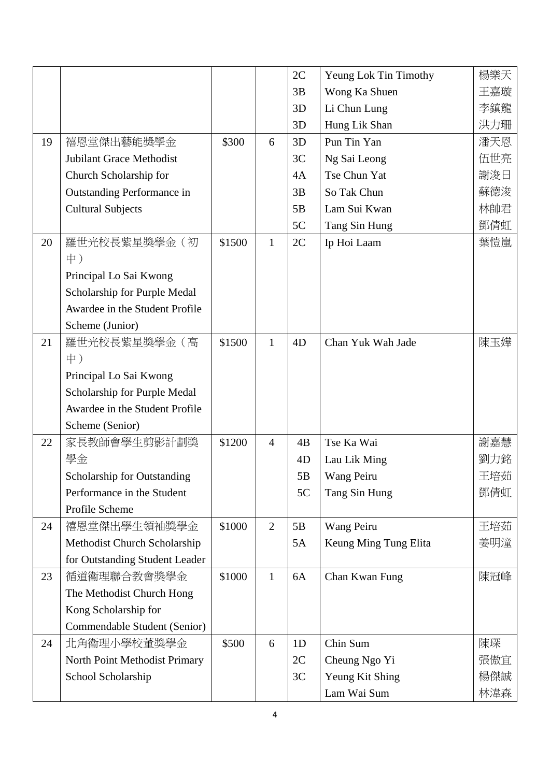|    |                                    |        |                | 2C | Yeung Lok Tin Timothy | 楊樂天 |
|----|------------------------------------|--------|----------------|----|-----------------------|-----|
|    |                                    |        |                | 3B | Wong Ka Shuen         | 王嘉璇 |
|    |                                    |        |                | 3D | Li Chun Lung          | 李鎮龍 |
|    |                                    |        |                | 3D | Hung Lik Shan         | 洪力珊 |
| 19 | 禧恩堂傑出藝能獎學金                         | \$300  | 6              | 3D | Pun Tin Yan           | 潘天恩 |
|    | Jubilant Grace Methodist           |        |                | 3C | Ng Sai Leong          | 伍世亮 |
|    | Church Scholarship for             |        |                | 4A | Tse Chun Yat          | 謝浚日 |
|    | Outstanding Performance in         |        |                | 3B | So Tak Chun           | 蘇德浚 |
|    | <b>Cultural Subjects</b>           |        |                | 5B | Lam Sui Kwan          | 林帥君 |
|    |                                    |        |                | 5C | Tang Sin Hung         | 鄧倩虹 |
| 20 | 羅世光校長紫星獎學金(初                       | \$1500 | $\mathbf{1}$   | 2C | Ip Hoi Laam           | 葉愷嵐 |
|    | 中)                                 |        |                |    |                       |     |
|    | Principal Lo Sai Kwong             |        |                |    |                       |     |
|    | Scholarship for Purple Medal       |        |                |    |                       |     |
|    | Awardee in the Student Profile     |        |                |    |                       |     |
|    | Scheme (Junior)                    |        |                |    |                       |     |
| 21 | 羅世光校長紫星獎學金(高                       | \$1500 | 1              | 4D | Chan Yuk Wah Jade     | 陳玉嬅 |
|    | 中)                                 |        |                |    |                       |     |
|    | Principal Lo Sai Kwong             |        |                |    |                       |     |
|    | Scholarship for Purple Medal       |        |                |    |                       |     |
|    | Awardee in the Student Profile     |        |                |    |                       |     |
|    | Scheme (Senior)                    |        |                |    |                       |     |
| 22 | 家長教師會學生剪影計劃獎                       | \$1200 | $\overline{4}$ | 4B | Tse Ka Wai            | 謝嘉慧 |
|    | 學金                                 |        |                | 4D | Lau Lik Ming          | 劉力銘 |
|    | <b>Scholarship for Outstanding</b> |        |                | 5B | Wang Peiru            | 王培茹 |
|    | Performance in the Student         |        |                | 5C | Tang Sin Hung         | 鄧倩虹 |
|    | Profile Scheme                     |        |                |    |                       |     |
| 24 | 禧恩堂傑出學生領袖獎學金                       | \$1000 | $\overline{2}$ | 5B | Wang Peiru            | 王培茹 |
|    | Methodist Church Scholarship       |        |                | 5A | Keung Ming Tung Elita | 姜明潼 |
|    | for Outstanding Student Leader     |        |                |    |                       |     |
| 23 | 循道衞理聯合教會獎學金                        | \$1000 | 1              | 6A | Chan Kwan Fung        | 陳冠峰 |
|    | The Methodist Church Hong          |        |                |    |                       |     |
|    | Kong Scholarship for               |        |                |    |                       |     |
|    | Commendable Student (Senior)       |        |                |    |                       |     |
| 24 | 北角衞理小學校董獎學金                        | \$500  | 6              | 1D | Chin Sum              | 陳琛  |
|    | North Point Methodist Primary      |        |                | 2C | Cheung Ngo Yi         | 張傲宜 |
|    | School Scholarship                 |        |                | 3C | Yeung Kit Shing       | 楊傑誠 |
|    |                                    |        |                |    | Lam Wai Sum           | 林湋森 |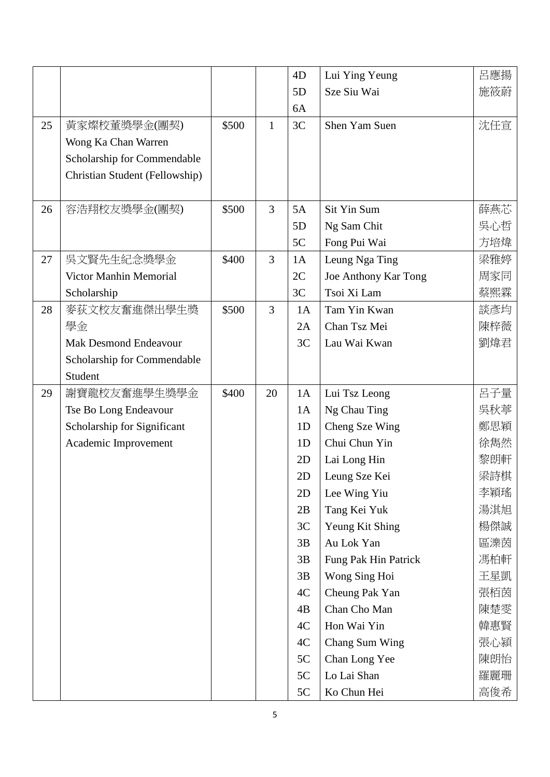|    |                                |       |                | 4D             | Lui Ying Yeung       | 呂應揚 |
|----|--------------------------------|-------|----------------|----------------|----------------------|-----|
|    |                                |       |                | 5D             | Sze Siu Wai          | 施筱蔚 |
|    |                                |       |                | 6A             |                      |     |
| 25 | 黃家燦校董獎學金(團契)                   | \$500 | $\mathbf{1}$   | 3C             | Shen Yam Suen        | 沈任宣 |
|    | Wong Ka Chan Warren            |       |                |                |                      |     |
|    | Scholarship for Commendable    |       |                |                |                      |     |
|    | Christian Student (Fellowship) |       |                |                |                      |     |
|    |                                |       |                |                |                      |     |
| 26 | 容浩翔校友獎學金(團契)                   | \$500 | 3              | 5A             | Sit Yin Sum          | 薛燕芯 |
|    |                                |       |                | 5D             | Ng Sam Chit          | 吳心哲 |
|    |                                |       |                | 5C             | Fong Pui Wai         | 方培煒 |
| 27 | 吳文賢先生紀念獎學金                     | \$400 | $\overline{3}$ | 1A             | Leung Nga Ting       | 梁雅婷 |
|    | Victor Manhin Memorial         |       |                | 2C             | Joe Anthony Kar Tong | 周家同 |
|    | Scholarship                    |       |                | 3C             | Tsoi Xi Lam          | 蔡熙霖 |
| 28 | 麥荻文校友奮進傑出學生獎                   | \$500 | $\overline{3}$ | 1A             | Tam Yin Kwan         | 談彥均 |
|    | 學金                             |       |                | 2A             | Chan Tsz Mei         | 陳梓薇 |
|    | <b>Mak Desmond Endeavour</b>   |       |                | 3C             | Lau Wai Kwan         | 劉煒君 |
|    | Scholarship for Commendable    |       |                |                |                      |     |
|    | Student                        |       |                |                |                      |     |
| 29 | 謝寶龍校友奮進學生獎學金                   | \$400 | 20             | 1A             | Lui Tsz Leong        | 呂子量 |
|    | Tse Bo Long Endeavour          |       |                | 1A             | Ng Chau Ting         | 吳秋葶 |
|    | Scholarship for Significant    |       |                | 1 <sub>D</sub> | Cheng Sze Wing       | 鄭思穎 |
|    | Academic Improvement           |       |                | 1D             | Chui Chun Yin        | 徐雋然 |
|    |                                |       |                | 2D             | Lai Long Hin         | 黎朗軒 |
|    |                                |       |                | 2D             | Leung Sze Kei        | 梁詩棋 |
|    |                                |       |                | 2D             | Lee Wing Yiu         | 李穎瑤 |
|    |                                |       |                | 2B             | Tang Kei Yuk         | 湯淇旭 |
|    |                                |       |                | 3C             | Yeung Kit Shing      | 楊傑誠 |
|    |                                |       |                | 3B             | Au Lok Yan           | 區濼茵 |
|    |                                |       |                | 3B             | Fung Pak Hin Patrick | 馮柏軒 |
|    |                                |       |                | 3B             | Wong Sing Hoi        | 王星凱 |
|    |                                |       |                | 4C             | Cheung Pak Yan       | 張栢茵 |
|    |                                |       |                | 4B             | Chan Cho Man         | 陳楚雯 |
|    |                                |       |                | 4C             | Hon Wai Yin          | 韓惠賢 |
|    |                                |       |                | 4C             | Chang Sum Wing       | 張心潁 |
|    |                                |       |                | 5C             | Chan Long Yee        | 陳朗怡 |
|    |                                |       |                | 5C             | Lo Lai Shan          | 羅麗珊 |
|    |                                |       |                | 5C             | Ko Chun Hei          | 高俊希 |